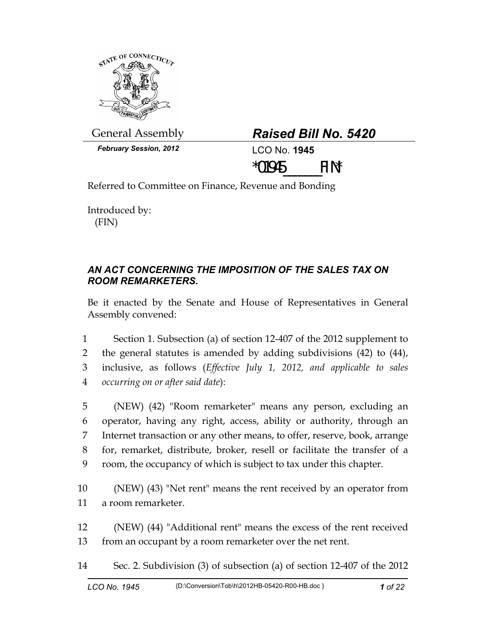

General Assembly *Raised Bill No. 5420* 

| <b>Raised Bill No. 5420</b> |  |  |  |
|-----------------------------|--|--|--|
|-----------------------------|--|--|--|

*February Session, 2012* LCO No. **1945**

\*01945\_\_\_\_\_\_\_FIN\*

Referred to Committee on Finance, Revenue and Bonding

Introduced by: (FIN)

## *AN ACT CONCERNING THE IMPOSITION OF THE SALES TAX ON ROOM REMARKETERS.*

Be it enacted by the Senate and House of Representatives in General Assembly convened:

1 Section 1. Subsection (a) of section 12-407 of the 2012 supplement to 2 the general statutes is amended by adding subdivisions (42) to (44), 3 inclusive, as follows (*Effective July 1, 2012, and applicable to sales*  4 *occurring on or after said date*):

5 (NEW) (42) "Room remarketer" means any person, excluding an 6 operator, having any right, access, ability or authority, through an 7 Internet transaction or any other means, to offer, reserve, book, arrange 8 for, remarket, distribute, broker, resell or facilitate the transfer of a 9 room, the occupancy of which is subject to tax under this chapter.

10 (NEW) (43) "Net rent" means the rent received by an operator from 11 a room remarketer.

12 (NEW) (44) "Additional rent" means the excess of the rent received 13 from an occupant by a room remarketer over the net rent.

14 Sec. 2. Subdivision (3) of subsection (a) of section 12-407 of the 2012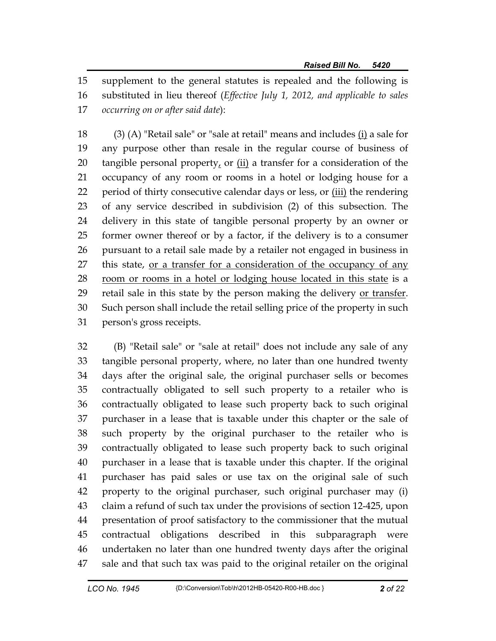15 supplement to the general statutes is repealed and the following is 16 substituted in lieu thereof (*Effective July 1, 2012, and applicable to sales*  17 *occurring on or after said date*):

18 (3) (A) "Retail sale" or "sale at retail" means and includes (i) a sale for 19 any purpose other than resale in the regular course of business of 20 tangible personal property, or  $(i)$  a transfer for a consideration of the 21 occupancy of any room or rooms in a hotel or lodging house for a 22 period of thirty consecutive calendar days or less, or (iii) the rendering 23 of any service described in subdivision (2) of this subsection. The 24 delivery in this state of tangible personal property by an owner or 25 former owner thereof or by a factor, if the delivery is to a consumer 26 pursuant to a retail sale made by a retailer not engaged in business in 27 this state, or a transfer for a consideration of the occupancy of any 28 room or rooms in a hotel or lodging house located in this state is a 29 retail sale in this state by the person making the delivery or transfer. 30 Such person shall include the retail selling price of the property in such 31 person's gross receipts.

32 (B) "Retail sale" or "sale at retail" does not include any sale of any 33 tangible personal property, where, no later than one hundred twenty 34 days after the original sale, the original purchaser sells or becomes 35 contractually obligated to sell such property to a retailer who is 36 contractually obligated to lease such property back to such original 37 purchaser in a lease that is taxable under this chapter or the sale of 38 such property by the original purchaser to the retailer who is 39 contractually obligated to lease such property back to such original 40 purchaser in a lease that is taxable under this chapter. If the original 41 purchaser has paid sales or use tax on the original sale of such 42 property to the original purchaser, such original purchaser may (i) 43 claim a refund of such tax under the provisions of section 12-425, upon 44 presentation of proof satisfactory to the commissioner that the mutual 45 contractual obligations described in this subparagraph were 46 undertaken no later than one hundred twenty days after the original 47 sale and that such tax was paid to the original retailer on the original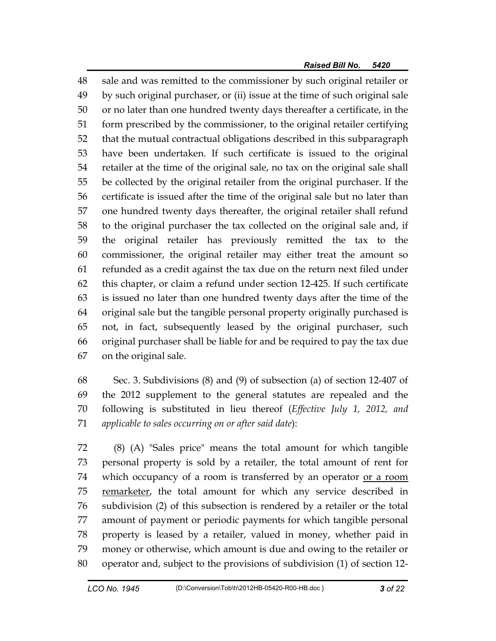48 sale and was remitted to the commissioner by such original retailer or 49 by such original purchaser, or (ii) issue at the time of such original sale 50 or no later than one hundred twenty days thereafter a certificate, in the 51 form prescribed by the commissioner, to the original retailer certifying 52 that the mutual contractual obligations described in this subparagraph 53 have been undertaken. If such certificate is issued to the original 54 retailer at the time of the original sale, no tax on the original sale shall 55 be collected by the original retailer from the original purchaser. If the 56 certificate is issued after the time of the original sale but no later than 57 one hundred twenty days thereafter, the original retailer shall refund 58 to the original purchaser the tax collected on the original sale and, if 59 the original retailer has previously remitted the tax to the 60 commissioner, the original retailer may either treat the amount so 61 refunded as a credit against the tax due on the return next filed under 62 this chapter, or claim a refund under section 12-425. If such certificate 63 is issued no later than one hundred twenty days after the time of the 64 original sale but the tangible personal property originally purchased is 65 not, in fact, subsequently leased by the original purchaser, such 66 original purchaser shall be liable for and be required to pay the tax due 67 on the original sale.

68 Sec. 3. Subdivisions (8) and (9) of subsection (a) of section 12-407 of 69 the 2012 supplement to the general statutes are repealed and the 70 following is substituted in lieu thereof (*Effective July 1, 2012, and*  71 *applicable to sales occurring on or after said date*):

72 (8) (A) "Sales price" means the total amount for which tangible 73 personal property is sold by a retailer, the total amount of rent for 74 which occupancy of a room is transferred by an operator or a room 75 remarketer, the total amount for which any service described in 76 subdivision (2) of this subsection is rendered by a retailer or the total 77 amount of payment or periodic payments for which tangible personal 78 property is leased by a retailer, valued in money, whether paid in 79 money or otherwise, which amount is due and owing to the retailer or 80 operator and, subject to the provisions of subdivision (1) of section 12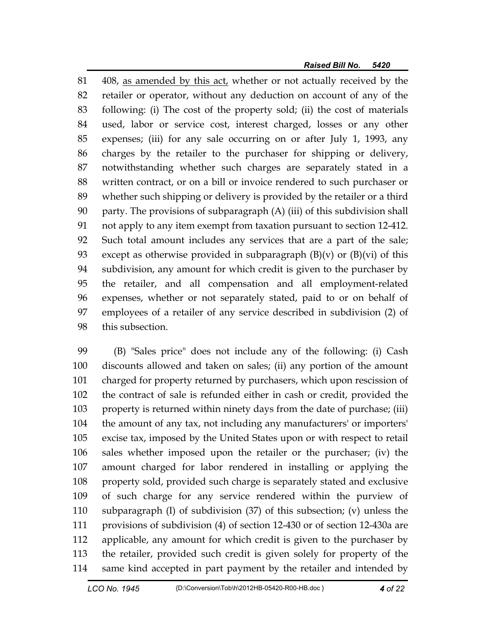81 408, as amended by this act, whether or not actually received by the 82 retailer or operator, without any deduction on account of any of the 83 following: (i) The cost of the property sold; (ii) the cost of materials 84 used, labor or service cost, interest charged, losses or any other 85 expenses; (iii) for any sale occurring on or after July 1, 1993, any 86 charges by the retailer to the purchaser for shipping or delivery, 87 notwithstanding whether such charges are separately stated in a 88 written contract, or on a bill or invoice rendered to such purchaser or 89 whether such shipping or delivery is provided by the retailer or a third 90 party. The provisions of subparagraph (A) (iii) of this subdivision shall 91 not apply to any item exempt from taxation pursuant to section 12-412. 92 Such total amount includes any services that are a part of the sale; 93 except as otherwise provided in subparagraph  $(B)(v)$  or  $(B)(vi)$  of this 94 subdivision, any amount for which credit is given to the purchaser by 95 the retailer, and all compensation and all employment-related 96 expenses, whether or not separately stated, paid to or on behalf of 97 employees of a retailer of any service described in subdivision (2) of 98 this subsection.

99 (B) "Sales price" does not include any of the following: (i) Cash 100 discounts allowed and taken on sales; (ii) any portion of the amount 101 charged for property returned by purchasers, which upon rescission of 102 the contract of sale is refunded either in cash or credit, provided the 103 property is returned within ninety days from the date of purchase; (iii) 104 the amount of any tax, not including any manufacturers' or importers' 105 excise tax, imposed by the United States upon or with respect to retail 106 sales whether imposed upon the retailer or the purchaser; (iv) the 107 amount charged for labor rendered in installing or applying the 108 property sold, provided such charge is separately stated and exclusive 109 of such charge for any service rendered within the purview of 110 subparagraph (I) of subdivision (37) of this subsection; (v) unless the 111 provisions of subdivision (4) of section 12-430 or of section 12-430a are 112 applicable, any amount for which credit is given to the purchaser by 113 the retailer, provided such credit is given solely for property of the 114 same kind accepted in part payment by the retailer and intended by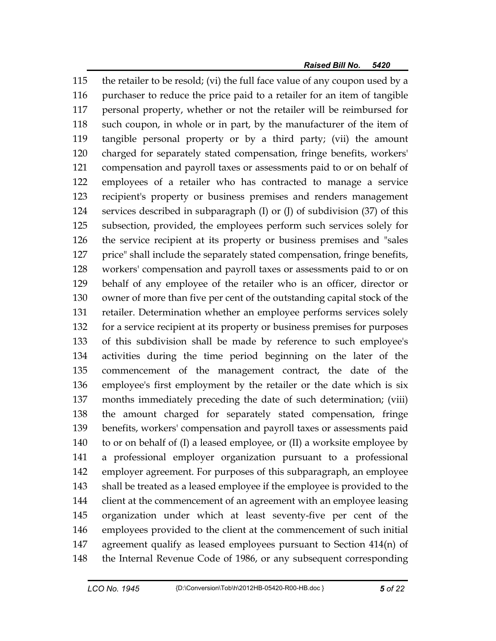115 the retailer to be resold; (vi) the full face value of any coupon used by a 116 purchaser to reduce the price paid to a retailer for an item of tangible 117 personal property, whether or not the retailer will be reimbursed for 118 such coupon, in whole or in part, by the manufacturer of the item of 119 tangible personal property or by a third party; (vii) the amount 120 charged for separately stated compensation, fringe benefits, workers' 121 compensation and payroll taxes or assessments paid to or on behalf of 122 employees of a retailer who has contracted to manage a service 123 recipient's property or business premises and renders management 124 services described in subparagraph (I) or (J) of subdivision (37) of this 125 subsection, provided, the employees perform such services solely for 126 the service recipient at its property or business premises and "sales 127 price" shall include the separately stated compensation, fringe benefits, 128 workers' compensation and payroll taxes or assessments paid to or on 129 behalf of any employee of the retailer who is an officer, director or 130 owner of more than five per cent of the outstanding capital stock of the 131 retailer. Determination whether an employee performs services solely 132 for a service recipient at its property or business premises for purposes 133 of this subdivision shall be made by reference to such employee's 134 activities during the time period beginning on the later of the 135 commencement of the management contract, the date of the 136 employee's first employment by the retailer or the date which is six 137 months immediately preceding the date of such determination; (viii) 138 the amount charged for separately stated compensation, fringe 139 benefits, workers' compensation and payroll taxes or assessments paid 140 to or on behalf of (I) a leased employee, or (II) a worksite employee by 141 a professional employer organization pursuant to a professional 142 employer agreement. For purposes of this subparagraph, an employee 143 shall be treated as a leased employee if the employee is provided to the 144 client at the commencement of an agreement with an employee leasing 145 organization under which at least seventy-five per cent of the 146 employees provided to the client at the commencement of such initial 147 agreement qualify as leased employees pursuant to Section 414(n) of 148 the Internal Revenue Code of 1986, or any subsequent corresponding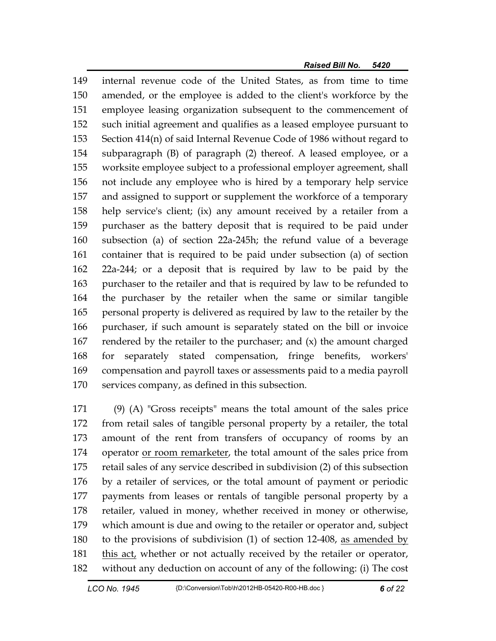149 internal revenue code of the United States, as from time to time 150 amended, or the employee is added to the client's workforce by the 151 employee leasing organization subsequent to the commencement of 152 such initial agreement and qualifies as a leased employee pursuant to 153 Section 414(n) of said Internal Revenue Code of 1986 without regard to 154 subparagraph (B) of paragraph (2) thereof. A leased employee, or a 155 worksite employee subject to a professional employer agreement, shall 156 not include any employee who is hired by a temporary help service 157 and assigned to support or supplement the workforce of a temporary 158 help service's client; (ix) any amount received by a retailer from a 159 purchaser as the battery deposit that is required to be paid under 160 subsection (a) of section 22a-245h; the refund value of a beverage 161 container that is required to be paid under subsection (a) of section 162 22a-244; or a deposit that is required by law to be paid by the 163 purchaser to the retailer and that is required by law to be refunded to 164 the purchaser by the retailer when the same or similar tangible 165 personal property is delivered as required by law to the retailer by the 166 purchaser, if such amount is separately stated on the bill or invoice 167 rendered by the retailer to the purchaser; and (x) the amount charged 168 for separately stated compensation, fringe benefits, workers' 169 compensation and payroll taxes or assessments paid to a media payroll 170 services company, as defined in this subsection.

171 (9) (A) "Gross receipts" means the total amount of the sales price 172 from retail sales of tangible personal property by a retailer, the total 173 amount of the rent from transfers of occupancy of rooms by an 174 operator or room remarketer, the total amount of the sales price from 175 retail sales of any service described in subdivision (2) of this subsection 176 by a retailer of services, or the total amount of payment or periodic 177 payments from leases or rentals of tangible personal property by a 178 retailer, valued in money, whether received in money or otherwise, 179 which amount is due and owing to the retailer or operator and, subject 180 to the provisions of subdivision (1) of section 12-408, as amended by 181 this act, whether or not actually received by the retailer or operator, 182 without any deduction on account of any of the following: (i) The cost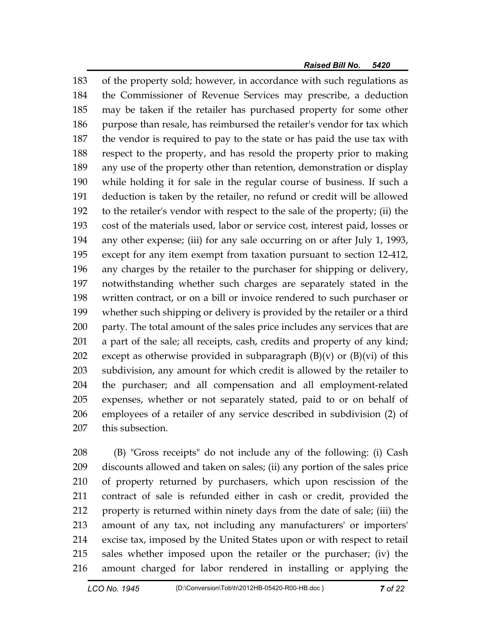183 of the property sold; however, in accordance with such regulations as 184 the Commissioner of Revenue Services may prescribe, a deduction 185 may be taken if the retailer has purchased property for some other 186 purpose than resale, has reimbursed the retailer's vendor for tax which 187 the vendor is required to pay to the state or has paid the use tax with 188 respect to the property, and has resold the property prior to making 189 any use of the property other than retention, demonstration or display 190 while holding it for sale in the regular course of business. If such a 191 deduction is taken by the retailer, no refund or credit will be allowed 192 to the retailer's vendor with respect to the sale of the property; (ii) the 193 cost of the materials used, labor or service cost, interest paid, losses or 194 any other expense; (iii) for any sale occurring on or after July 1, 1993, 195 except for any item exempt from taxation pursuant to section 12-412, 196 any charges by the retailer to the purchaser for shipping or delivery, 197 notwithstanding whether such charges are separately stated in the 198 written contract, or on a bill or invoice rendered to such purchaser or 199 whether such shipping or delivery is provided by the retailer or a third 200 party. The total amount of the sales price includes any services that are 201 a part of the sale; all receipts, cash, credits and property of any kind; 202 except as otherwise provided in subparagraph  $(B)(v)$  or  $(B)(vi)$  of this 203 subdivision, any amount for which credit is allowed by the retailer to 204 the purchaser; and all compensation and all employment-related 205 expenses, whether or not separately stated, paid to or on behalf of 206 employees of a retailer of any service described in subdivision (2) of 207 this subsection.

208 (B) "Gross receipts" do not include any of the following: (i) Cash 209 discounts allowed and taken on sales; (ii) any portion of the sales price 210 of property returned by purchasers, which upon rescission of the 211 contract of sale is refunded either in cash or credit, provided the 212 property is returned within ninety days from the date of sale; (iii) the 213 amount of any tax, not including any manufacturers' or importers' 214 excise tax, imposed by the United States upon or with respect to retail 215 sales whether imposed upon the retailer or the purchaser; (iv) the 216 amount charged for labor rendered in installing or applying the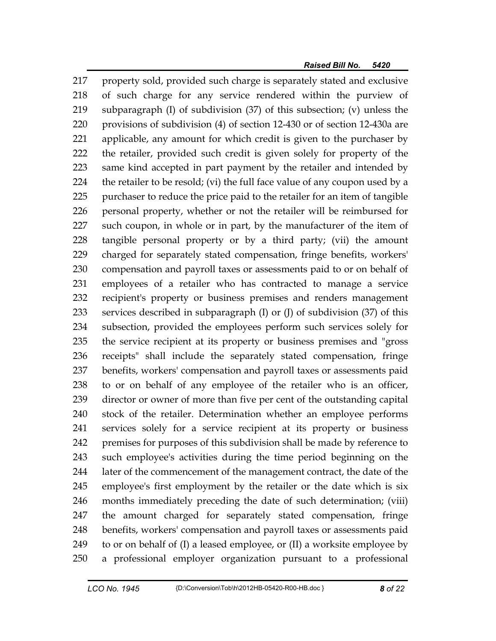217 property sold, provided such charge is separately stated and exclusive 218 of such charge for any service rendered within the purview of 219 subparagraph (I) of subdivision (37) of this subsection; (v) unless the 220 provisions of subdivision (4) of section 12-430 or of section 12-430a are 221 applicable, any amount for which credit is given to the purchaser by 222 the retailer, provided such credit is given solely for property of the 223 same kind accepted in part payment by the retailer and intended by 224 the retailer to be resold; (vi) the full face value of any coupon used by a 225 purchaser to reduce the price paid to the retailer for an item of tangible 226 personal property, whether or not the retailer will be reimbursed for 227 such coupon, in whole or in part, by the manufacturer of the item of 228 tangible personal property or by a third party; (vii) the amount 229 charged for separately stated compensation, fringe benefits, workers' 230 compensation and payroll taxes or assessments paid to or on behalf of 231 employees of a retailer who has contracted to manage a service 232 recipient's property or business premises and renders management 233 services described in subparagraph (I) or (J) of subdivision (37) of this 234 subsection, provided the employees perform such services solely for 235 the service recipient at its property or business premises and "gross 236 receipts" shall include the separately stated compensation, fringe 237 benefits, workers' compensation and payroll taxes or assessments paid 238 to or on behalf of any employee of the retailer who is an officer, 239 director or owner of more than five per cent of the outstanding capital 240 stock of the retailer. Determination whether an employee performs 241 services solely for a service recipient at its property or business 242 premises for purposes of this subdivision shall be made by reference to 243 such employee's activities during the time period beginning on the 244 later of the commencement of the management contract, the date of the 245 employee's first employment by the retailer or the date which is six 246 months immediately preceding the date of such determination; (viii) 247 the amount charged for separately stated compensation, fringe 248 benefits, workers' compensation and payroll taxes or assessments paid 249 to or on behalf of (I) a leased employee, or (II) a worksite employee by 250 a professional employer organization pursuant to a professional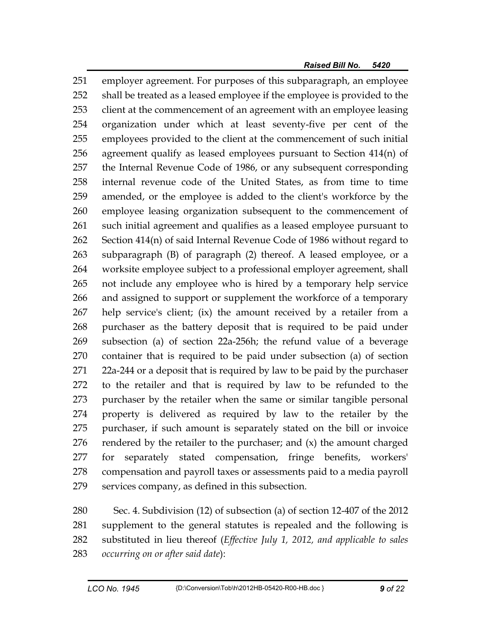251 employer agreement. For purposes of this subparagraph, an employee 252 shall be treated as a leased employee if the employee is provided to the 253 client at the commencement of an agreement with an employee leasing 254 organization under which at least seventy-five per cent of the 255 employees provided to the client at the commencement of such initial 256 agreement qualify as leased employees pursuant to Section 414(n) of 257 the Internal Revenue Code of 1986, or any subsequent corresponding 258 internal revenue code of the United States, as from time to time 259 amended, or the employee is added to the client's workforce by the 260 employee leasing organization subsequent to the commencement of 261 such initial agreement and qualifies as a leased employee pursuant to 262 Section 414(n) of said Internal Revenue Code of 1986 without regard to 263 subparagraph (B) of paragraph (2) thereof. A leased employee, or a 264 worksite employee subject to a professional employer agreement, shall 265 not include any employee who is hired by a temporary help service 266 and assigned to support or supplement the workforce of a temporary 267 help service's client; (ix) the amount received by a retailer from a 268 purchaser as the battery deposit that is required to be paid under 269 subsection (a) of section 22a-256h; the refund value of a beverage 270 container that is required to be paid under subsection (a) of section 271 22a-244 or a deposit that is required by law to be paid by the purchaser 272 to the retailer and that is required by law to be refunded to the 273 purchaser by the retailer when the same or similar tangible personal 274 property is delivered as required by law to the retailer by the 275 purchaser, if such amount is separately stated on the bill or invoice 276 rendered by the retailer to the purchaser; and  $(x)$  the amount charged 277 for separately stated compensation, fringe benefits, workers' 278 compensation and payroll taxes or assessments paid to a media payroll 279 services company, as defined in this subsection.

280 Sec. 4. Subdivision (12) of subsection (a) of section 12-407 of the 2012 281 supplement to the general statutes is repealed and the following is 282 substituted in lieu thereof (*Effective July 1, 2012, and applicable to sales*  283 *occurring on or after said date*):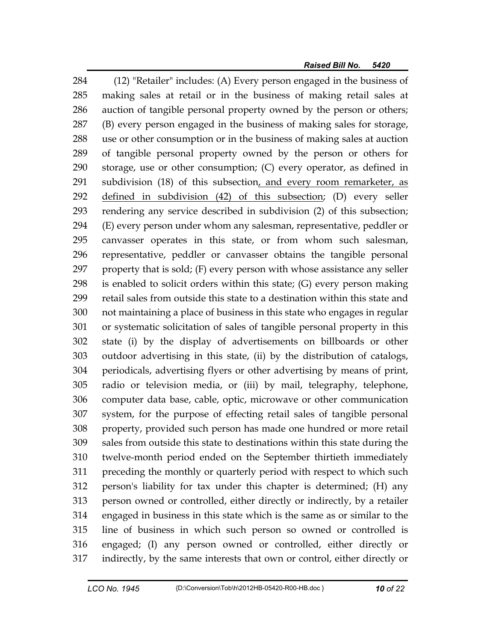284 (12) "Retailer" includes: (A) Every person engaged in the business of 285 making sales at retail or in the business of making retail sales at 286 auction of tangible personal property owned by the person or others; 287 (B) every person engaged in the business of making sales for storage, 288 use or other consumption or in the business of making sales at auction 289 of tangible personal property owned by the person or others for 290 storage, use or other consumption; (C) every operator, as defined in 291 subdivision (18) of this subsection, and every room remarketer, as 292 defined in subdivision (42) of this subsection; (D) every seller 293 rendering any service described in subdivision (2) of this subsection; 294 (E) every person under whom any salesman, representative, peddler or 295 canvasser operates in this state, or from whom such salesman, 296 representative, peddler or canvasser obtains the tangible personal 297 property that is sold; (F) every person with whose assistance any seller 298 is enabled to solicit orders within this state; (G) every person making 299 retail sales from outside this state to a destination within this state and 300 not maintaining a place of business in this state who engages in regular 301 or systematic solicitation of sales of tangible personal property in this 302 state (i) by the display of advertisements on billboards or other 303 outdoor advertising in this state, (ii) by the distribution of catalogs, 304 periodicals, advertising flyers or other advertising by means of print, 305 radio or television media, or (iii) by mail, telegraphy, telephone, 306 computer data base, cable, optic, microwave or other communication 307 system, for the purpose of effecting retail sales of tangible personal 308 property, provided such person has made one hundred or more retail 309 sales from outside this state to destinations within this state during the 310 twelve-month period ended on the September thirtieth immediately 311 preceding the monthly or quarterly period with respect to which such 312 person's liability for tax under this chapter is determined; (H) any 313 person owned or controlled, either directly or indirectly, by a retailer 314 engaged in business in this state which is the same as or similar to the 315 line of business in which such person so owned or controlled is 316 engaged; (I) any person owned or controlled, either directly or 317 indirectly, by the same interests that own or control, either directly or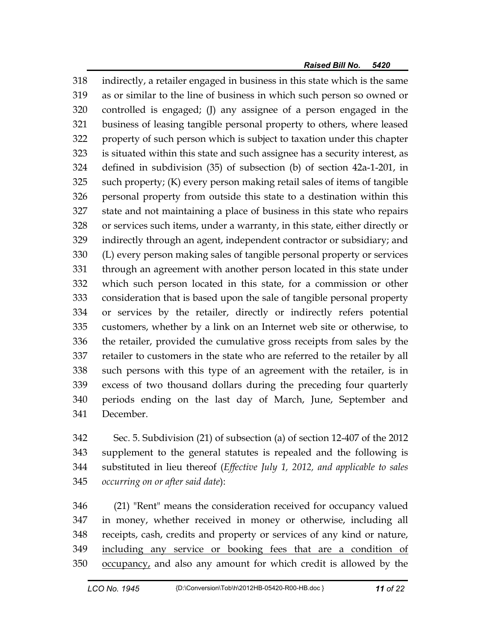318 indirectly, a retailer engaged in business in this state which is the same 319 as or similar to the line of business in which such person so owned or 320 controlled is engaged; (J) any assignee of a person engaged in the 321 business of leasing tangible personal property to others, where leased 322 property of such person which is subject to taxation under this chapter 323 is situated within this state and such assignee has a security interest, as 324 defined in subdivision (35) of subsection (b) of section 42a-1-201, in 325 such property; (K) every person making retail sales of items of tangible 326 personal property from outside this state to a destination within this 327 state and not maintaining a place of business in this state who repairs 328 or services such items, under a warranty, in this state, either directly or 329 indirectly through an agent, independent contractor or subsidiary; and 330 (L) every person making sales of tangible personal property or services 331 through an agreement with another person located in this state under 332 which such person located in this state, for a commission or other 333 consideration that is based upon the sale of tangible personal property 334 or services by the retailer, directly or indirectly refers potential 335 customers, whether by a link on an Internet web site or otherwise, to 336 the retailer, provided the cumulative gross receipts from sales by the 337 retailer to customers in the state who are referred to the retailer by all 338 such persons with this type of an agreement with the retailer, is in 339 excess of two thousand dollars during the preceding four quarterly 340 periods ending on the last day of March, June, September and 341 December.

342 Sec. 5. Subdivision (21) of subsection (a) of section 12-407 of the 2012 343 supplement to the general statutes is repealed and the following is 344 substituted in lieu thereof (*Effective July 1, 2012, and applicable to sales*  345 *occurring on or after said date*):

346 (21) "Rent" means the consideration received for occupancy valued 347 in money, whether received in money or otherwise, including all 348 receipts, cash, credits and property or services of any kind or nature, 349 including any service or booking fees that are a condition of 350 occupancy, and also any amount for which credit is allowed by the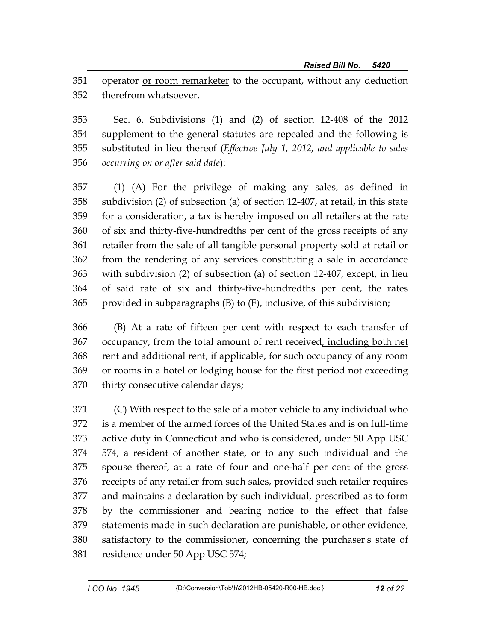351 operator or room remarketer to the occupant, without any deduction 352 therefrom whatsoever.

353 Sec. 6. Subdivisions (1) and (2) of section 12-408 of the 2012 354 supplement to the general statutes are repealed and the following is 355 substituted in lieu thereof (*Effective July 1, 2012, and applicable to sales*  356 *occurring on or after said date*):

357 (1) (A) For the privilege of making any sales, as defined in 358 subdivision (2) of subsection (a) of section 12-407, at retail, in this state 359 for a consideration, a tax is hereby imposed on all retailers at the rate 360 of six and thirty-five-hundredths per cent of the gross receipts of any 361 retailer from the sale of all tangible personal property sold at retail or 362 from the rendering of any services constituting a sale in accordance 363 with subdivision (2) of subsection (a) of section 12-407, except, in lieu 364 of said rate of six and thirty-five-hundredths per cent, the rates 365 provided in subparagraphs (B) to (F), inclusive, of this subdivision;

366 (B) At a rate of fifteen per cent with respect to each transfer of 367 occupancy, from the total amount of rent received, including both net 368 rent and additional rent, if applicable, for such occupancy of any room 369 or rooms in a hotel or lodging house for the first period not exceeding 370 thirty consecutive calendar days;

371 (C) With respect to the sale of a motor vehicle to any individual who 372 is a member of the armed forces of the United States and is on full-time 373 active duty in Connecticut and who is considered, under 50 App USC 374 574, a resident of another state, or to any such individual and the 375 spouse thereof, at a rate of four and one-half per cent of the gross 376 receipts of any retailer from such sales, provided such retailer requires 377 and maintains a declaration by such individual, prescribed as to form 378 by the commissioner and bearing notice to the effect that false 379 statements made in such declaration are punishable, or other evidence, 380 satisfactory to the commissioner, concerning the purchaser's state of 381 residence under 50 App USC 574;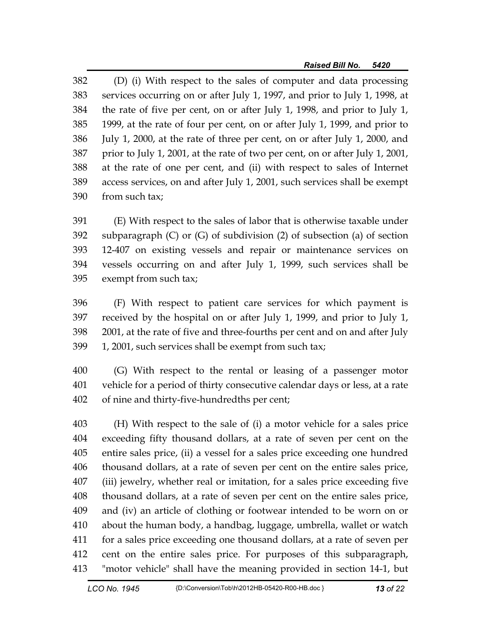382 (D) (i) With respect to the sales of computer and data processing 383 services occurring on or after July 1, 1997, and prior to July 1, 1998, at 384 the rate of five per cent, on or after July 1, 1998, and prior to July 1, 385 1999, at the rate of four per cent, on or after July 1, 1999, and prior to 386 July 1, 2000, at the rate of three per cent, on or after July 1, 2000, and 387 prior to July 1, 2001, at the rate of two per cent, on or after July 1, 2001, 388 at the rate of one per cent, and (ii) with respect to sales of Internet 389 access services, on and after July 1, 2001, such services shall be exempt 390 from such tax;

391 (E) With respect to the sales of labor that is otherwise taxable under 392 subparagraph (C) or (G) of subdivision (2) of subsection (a) of section 393 12-407 on existing vessels and repair or maintenance services on 394 vessels occurring on and after July 1, 1999, such services shall be 395 exempt from such tax;

396 (F) With respect to patient care services for which payment is 397 received by the hospital on or after July 1, 1999, and prior to July 1, 398 2001, at the rate of five and three-fourths per cent and on and after July 399 1, 2001, such services shall be exempt from such tax;

400 (G) With respect to the rental or leasing of a passenger motor 401 vehicle for a period of thirty consecutive calendar days or less, at a rate 402 of nine and thirty-five-hundredths per cent;

403 (H) With respect to the sale of (i) a motor vehicle for a sales price 404 exceeding fifty thousand dollars, at a rate of seven per cent on the 405 entire sales price, (ii) a vessel for a sales price exceeding one hundred 406 thousand dollars, at a rate of seven per cent on the entire sales price, 407 (iii) jewelry, whether real or imitation, for a sales price exceeding five 408 thousand dollars, at a rate of seven per cent on the entire sales price, 409 and (iv) an article of clothing or footwear intended to be worn on or 410 about the human body, a handbag, luggage, umbrella, wallet or watch 411 for a sales price exceeding one thousand dollars, at a rate of seven per 412 cent on the entire sales price. For purposes of this subparagraph, 413 "motor vehicle" shall have the meaning provided in section 14-1, but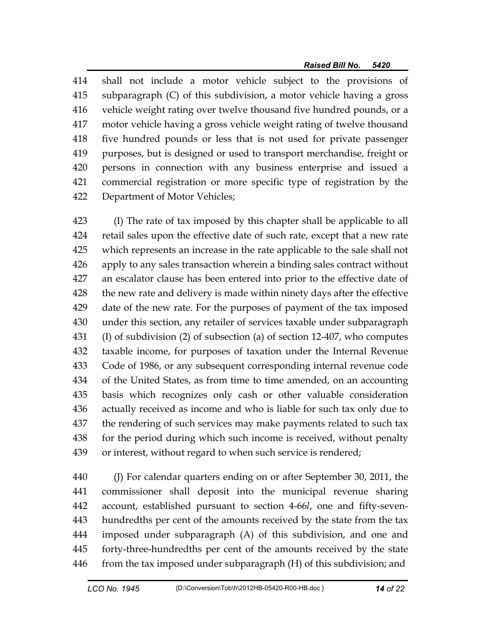414 shall not include a motor vehicle subject to the provisions of 415 subparagraph (C) of this subdivision, a motor vehicle having a gross 416 vehicle weight rating over twelve thousand five hundred pounds, or a 417 motor vehicle having a gross vehicle weight rating of twelve thousand 418 five hundred pounds or less that is not used for private passenger 419 purposes, but is designed or used to transport merchandise, freight or 420 persons in connection with any business enterprise and issued a 421 commercial registration or more specific type of registration by the 422 Department of Motor Vehicles;

423 (I) The rate of tax imposed by this chapter shall be applicable to all 424 retail sales upon the effective date of such rate, except that a new rate 425 which represents an increase in the rate applicable to the sale shall not 426 apply to any sales transaction wherein a binding sales contract without 427 an escalator clause has been entered into prior to the effective date of 428 the new rate and delivery is made within ninety days after the effective 429 date of the new rate. For the purposes of payment of the tax imposed 430 under this section, any retailer of services taxable under subparagraph 431 (I) of subdivision (2) of subsection (a) of section 12-407, who computes 432 taxable income, for purposes of taxation under the Internal Revenue 433 Code of 1986, or any subsequent corresponding internal revenue code 434 of the United States, as from time to time amended, on an accounting 435 basis which recognizes only cash or other valuable consideration 436 actually received as income and who is liable for such tax only due to 437 the rendering of such services may make payments related to such tax 438 for the period during which such income is received, without penalty 439 or interest, without regard to when such service is rendered;

440 (J) For calendar quarters ending on or after September 30, 2011, the 441 commissioner shall deposit into the municipal revenue sharing 442 account, established pursuant to section 4-66*l*, one and fifty-seven-443 hundredths per cent of the amounts received by the state from the tax 444 imposed under subparagraph (A) of this subdivision, and one and 445 forty-three-hundredths per cent of the amounts received by the state 446 from the tax imposed under subparagraph (H) of this subdivision; and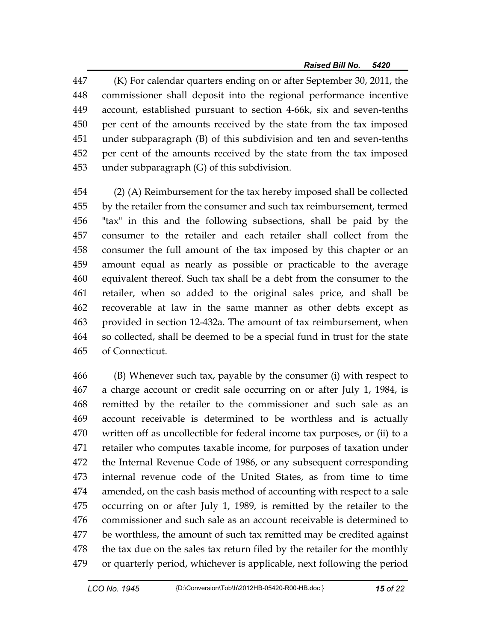447 (K) For calendar quarters ending on or after September 30, 2011, the 448 commissioner shall deposit into the regional performance incentive 449 account, established pursuant to section 4-66k, six and seven-tenths 450 per cent of the amounts received by the state from the tax imposed 451 under subparagraph (B) of this subdivision and ten and seven-tenths 452 per cent of the amounts received by the state from the tax imposed 453 under subparagraph (G) of this subdivision.

454 (2) (A) Reimbursement for the tax hereby imposed shall be collected 455 by the retailer from the consumer and such tax reimbursement, termed 456 "tax" in this and the following subsections, shall be paid by the 457 consumer to the retailer and each retailer shall collect from the 458 consumer the full amount of the tax imposed by this chapter or an 459 amount equal as nearly as possible or practicable to the average 460 equivalent thereof. Such tax shall be a debt from the consumer to the 461 retailer, when so added to the original sales price, and shall be 462 recoverable at law in the same manner as other debts except as 463 provided in section 12-432a. The amount of tax reimbursement, when 464 so collected, shall be deemed to be a special fund in trust for the state 465 of Connecticut.

466 (B) Whenever such tax, payable by the consumer (i) with respect to 467 a charge account or credit sale occurring on or after July 1, 1984, is 468 remitted by the retailer to the commissioner and such sale as an 469 account receivable is determined to be worthless and is actually 470 written off as uncollectible for federal income tax purposes, or (ii) to a 471 retailer who computes taxable income, for purposes of taxation under 472 the Internal Revenue Code of 1986, or any subsequent corresponding 473 internal revenue code of the United States, as from time to time 474 amended, on the cash basis method of accounting with respect to a sale 475 occurring on or after July 1, 1989, is remitted by the retailer to the 476 commissioner and such sale as an account receivable is determined to 477 be worthless, the amount of such tax remitted may be credited against 478 the tax due on the sales tax return filed by the retailer for the monthly 479 or quarterly period, whichever is applicable, next following the period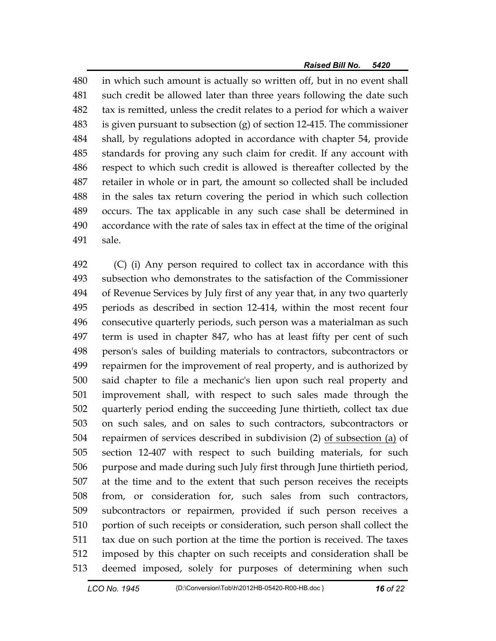480 in which such amount is actually so written off, but in no event shall 481 such credit be allowed later than three years following the date such 482 tax is remitted, unless the credit relates to a period for which a waiver 483 is given pursuant to subsection (g) of section 12-415. The commissioner 484 shall, by regulations adopted in accordance with chapter 54, provide 485 standards for proving any such claim for credit. If any account with 486 respect to which such credit is allowed is thereafter collected by the 487 retailer in whole or in part, the amount so collected shall be included 488 in the sales tax return covering the period in which such collection 489 occurs. The tax applicable in any such case shall be determined in 490 accordance with the rate of sales tax in effect at the time of the original 491 sale.

492 (C) (i) Any person required to collect tax in accordance with this 493 subsection who demonstrates to the satisfaction of the Commissioner 494 of Revenue Services by July first of any year that, in any two quarterly 495 periods as described in section 12-414, within the most recent four 496 consecutive quarterly periods, such person was a materialman as such 497 term is used in chapter 847, who has at least fifty per cent of such 498 person's sales of building materials to contractors, subcontractors or 499 repairmen for the improvement of real property, and is authorized by 500 said chapter to file a mechanic's lien upon such real property and 501 improvement shall, with respect to such sales made through the 502 quarterly period ending the succeeding June thirtieth, collect tax due 503 on such sales, and on sales to such contractors, subcontractors or 504 repairmen of services described in subdivision (2) of subsection (a) of 505 section 12-407 with respect to such building materials, for such 506 purpose and made during such July first through June thirtieth period, 507 at the time and to the extent that such person receives the receipts 508 from, or consideration for, such sales from such contractors, 509 subcontractors or repairmen, provided if such person receives a 510 portion of such receipts or consideration, such person shall collect the 511 tax due on such portion at the time the portion is received. The taxes 512 imposed by this chapter on such receipts and consideration shall be 513 deemed imposed, solely for purposes of determining when such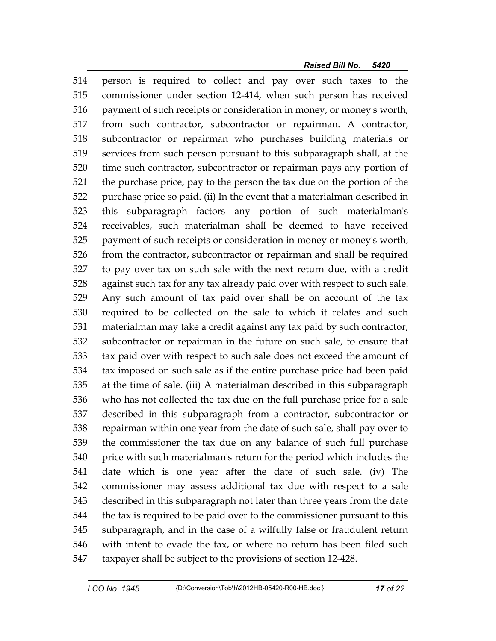514 person is required to collect and pay over such taxes to the 515 commissioner under section 12-414, when such person has received 516 payment of such receipts or consideration in money, or money's worth, 517 from such contractor, subcontractor or repairman. A contractor, 518 subcontractor or repairman who purchases building materials or 519 services from such person pursuant to this subparagraph shall, at the 520 time such contractor, subcontractor or repairman pays any portion of 521 the purchase price, pay to the person the tax due on the portion of the 522 purchase price so paid. (ii) In the event that a materialman described in 523 this subparagraph factors any portion of such materialman's 524 receivables, such materialman shall be deemed to have received 525 payment of such receipts or consideration in money or money's worth, 526 from the contractor, subcontractor or repairman and shall be required 527 to pay over tax on such sale with the next return due, with a credit 528 against such tax for any tax already paid over with respect to such sale. 529 Any such amount of tax paid over shall be on account of the tax 530 required to be collected on the sale to which it relates and such 531 materialman may take a credit against any tax paid by such contractor, 532 subcontractor or repairman in the future on such sale, to ensure that 533 tax paid over with respect to such sale does not exceed the amount of 534 tax imposed on such sale as if the entire purchase price had been paid 535 at the time of sale. (iii) A materialman described in this subparagraph 536 who has not collected the tax due on the full purchase price for a sale 537 described in this subparagraph from a contractor, subcontractor or 538 repairman within one year from the date of such sale, shall pay over to 539 the commissioner the tax due on any balance of such full purchase 540 price with such materialman's return for the period which includes the 541 date which is one year after the date of such sale. (iv) The 542 commissioner may assess additional tax due with respect to a sale 543 described in this subparagraph not later than three years from the date 544 the tax is required to be paid over to the commissioner pursuant to this 545 subparagraph, and in the case of a wilfully false or fraudulent return 546 with intent to evade the tax, or where no return has been filed such 547 taxpayer shall be subject to the provisions of section 12-428.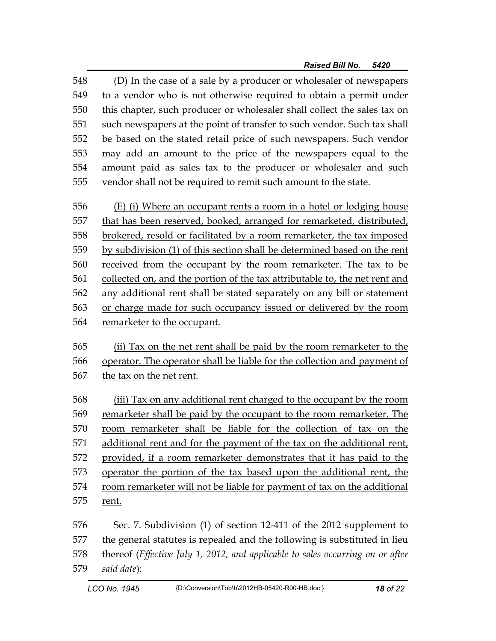548 (D) In the case of a sale by a producer or wholesaler of newspapers 549 to a vendor who is not otherwise required to obtain a permit under 550 this chapter, such producer or wholesaler shall collect the sales tax on 551 such newspapers at the point of transfer to such vendor. Such tax shall 552 be based on the stated retail price of such newspapers. Such vendor 553 may add an amount to the price of the newspapers equal to the 554 amount paid as sales tax to the producer or wholesaler and such 555 vendor shall not be required to remit such amount to the state.

556 (E) (i) Where an occupant rents a room in a hotel or lodging house 557 that has been reserved, booked, arranged for remarketed, distributed, 558 brokered, resold or facilitated by a room remarketer, the tax imposed 559 by subdivision (1) of this section shall be determined based on the rent 560 received from the occupant by the room remarketer. The tax to be 561 collected on, and the portion of the tax attributable to, the net rent and 562 any additional rent shall be stated separately on any bill or statement 563 or charge made for such occupancy issued or delivered by the room 564 remarketer to the occupant.

565 (ii) Tax on the net rent shall be paid by the room remarketer to the 566 operator. The operator shall be liable for the collection and payment of 567 the tax on the net rent.

568 (iii) Tax on any additional rent charged to the occupant by the room 569 remarketer shall be paid by the occupant to the room remarketer. The 570 room remarketer shall be liable for the collection of tax on the 571 additional rent and for the payment of the tax on the additional rent, 572 provided, if a room remarketer demonstrates that it has paid to the 573 operator the portion of the tax based upon the additional rent, the 574 room remarketer will not be liable for payment of tax on the additional 575 rent.

576 Sec. 7. Subdivision (1) of section 12-411 of the 2012 supplement to 577 the general statutes is repealed and the following is substituted in lieu 578 thereof (*Effective July 1, 2012, and applicable to sales occurring on or after*  579 *said date*):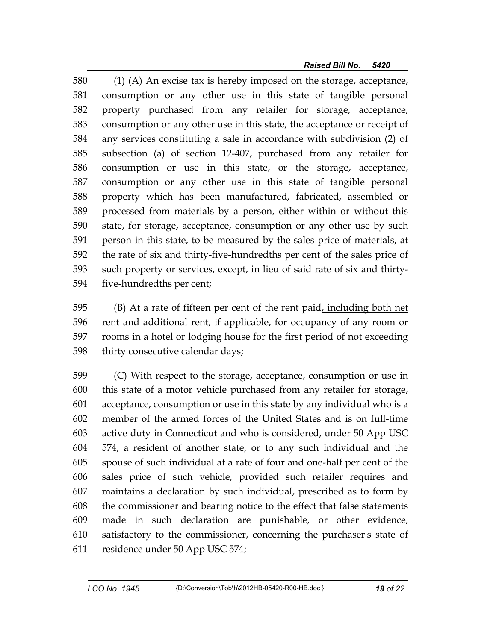580 (1) (A) An excise tax is hereby imposed on the storage, acceptance, 581 consumption or any other use in this state of tangible personal 582 property purchased from any retailer for storage, acceptance, 583 consumption or any other use in this state, the acceptance or receipt of 584 any services constituting a sale in accordance with subdivision (2) of 585 subsection (a) of section 12-407, purchased from any retailer for 586 consumption or use in this state, or the storage, acceptance, 587 consumption or any other use in this state of tangible personal 588 property which has been manufactured, fabricated, assembled or 589 processed from materials by a person, either within or without this 590 state, for storage, acceptance, consumption or any other use by such 591 person in this state, to be measured by the sales price of materials, at 592 the rate of six and thirty-five-hundredths per cent of the sales price of 593 such property or services, except, in lieu of said rate of six and thirty-594 five-hundredths per cent;

595 (B) At a rate of fifteen per cent of the rent paid, including both net 596 rent and additional rent, if applicable, for occupancy of any room or 597 rooms in a hotel or lodging house for the first period of not exceeding 598 thirty consecutive calendar days;

599 (C) With respect to the storage, acceptance, consumption or use in 600 this state of a motor vehicle purchased from any retailer for storage, 601 acceptance, consumption or use in this state by any individual who is a 602 member of the armed forces of the United States and is on full-time 603 active duty in Connecticut and who is considered, under 50 App USC 604 574, a resident of another state, or to any such individual and the 605 spouse of such individual at a rate of four and one-half per cent of the 606 sales price of such vehicle, provided such retailer requires and 607 maintains a declaration by such individual, prescribed as to form by 608 the commissioner and bearing notice to the effect that false statements 609 made in such declaration are punishable, or other evidence, 610 satisfactory to the commissioner, concerning the purchaser's state of 611 residence under 50 App USC 574;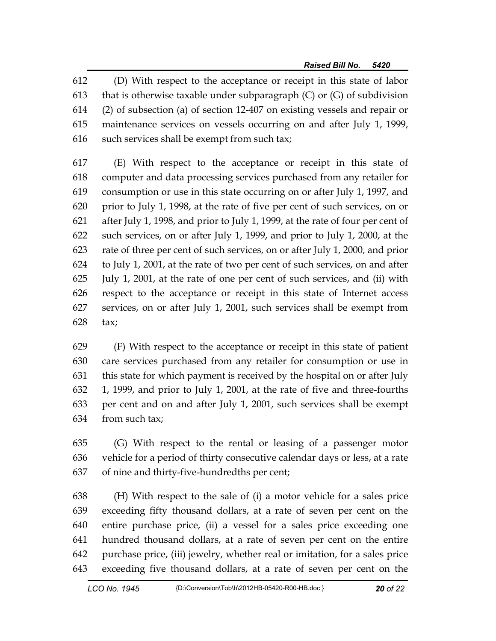612 (D) With respect to the acceptance or receipt in this state of labor 613 that is otherwise taxable under subparagraph  $(C)$  or  $(G)$  of subdivision 614 (2) of subsection (a) of section 12-407 on existing vessels and repair or 615 maintenance services on vessels occurring on and after July 1, 1999, 616 such services shall be exempt from such tax;

617 (E) With respect to the acceptance or receipt in this state of 618 computer and data processing services purchased from any retailer for 619 consumption or use in this state occurring on or after July 1, 1997, and 620 prior to July 1, 1998, at the rate of five per cent of such services, on or 621 after July 1, 1998, and prior to July 1, 1999, at the rate of four per cent of 622 such services, on or after July 1, 1999, and prior to July 1, 2000, at the 623 rate of three per cent of such services, on or after July 1, 2000, and prior 624 to July 1, 2001, at the rate of two per cent of such services, on and after 625 July 1, 2001, at the rate of one per cent of such services, and (ii) with 626 respect to the acceptance or receipt in this state of Internet access 627 services, on or after July 1, 2001, such services shall be exempt from 628 tax;

629 (F) With respect to the acceptance or receipt in this state of patient 630 care services purchased from any retailer for consumption or use in 631 this state for which payment is received by the hospital on or after July 632 1, 1999, and prior to July 1, 2001, at the rate of five and three-fourths 633 per cent and on and after July 1, 2001, such services shall be exempt 634 from such tax;

635 (G) With respect to the rental or leasing of a passenger motor 636 vehicle for a period of thirty consecutive calendar days or less, at a rate 637 of nine and thirty-five-hundredths per cent;

638 (H) With respect to the sale of (i) a motor vehicle for a sales price 639 exceeding fifty thousand dollars, at a rate of seven per cent on the 640 entire purchase price, (ii) a vessel for a sales price exceeding one 641 hundred thousand dollars, at a rate of seven per cent on the entire 642 purchase price, (iii) jewelry, whether real or imitation, for a sales price 643 exceeding five thousand dollars, at a rate of seven per cent on the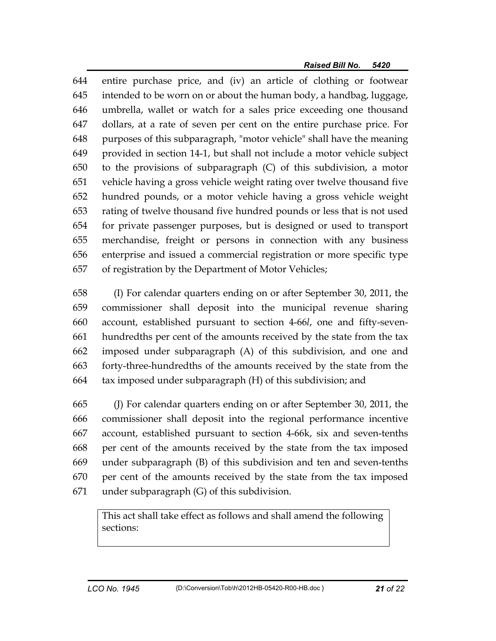644 entire purchase price, and (iv) an article of clothing or footwear 645 intended to be worn on or about the human body, a handbag, luggage, 646 umbrella, wallet or watch for a sales price exceeding one thousand 647 dollars, at a rate of seven per cent on the entire purchase price. For 648 purposes of this subparagraph, "motor vehicle" shall have the meaning 649 provided in section 14-1, but shall not include a motor vehicle subject 650 to the provisions of subparagraph (C) of this subdivision, a motor 651 vehicle having a gross vehicle weight rating over twelve thousand five 652 hundred pounds, or a motor vehicle having a gross vehicle weight 653 rating of twelve thousand five hundred pounds or less that is not used 654 for private passenger purposes, but is designed or used to transport 655 merchandise, freight or persons in connection with any business 656 enterprise and issued a commercial registration or more specific type 657 of registration by the Department of Motor Vehicles;

658 (I) For calendar quarters ending on or after September 30, 2011, the 659 commissioner shall deposit into the municipal revenue sharing 660 account, established pursuant to section 4-66*l*, one and fifty-seven-661 hundredths per cent of the amounts received by the state from the tax 662 imposed under subparagraph (A) of this subdivision, and one and 663 forty-three-hundredths of the amounts received by the state from the 664 tax imposed under subparagraph (H) of this subdivision; and

665 (J) For calendar quarters ending on or after September 30, 2011, the 666 commissioner shall deposit into the regional performance incentive 667 account, established pursuant to section 4-66k, six and seven-tenths 668 per cent of the amounts received by the state from the tax imposed 669 under subparagraph (B) of this subdivision and ten and seven-tenths 670 per cent of the amounts received by the state from the tax imposed 671 under subparagraph (G) of this subdivision.

This act shall take effect as follows and shall amend the following sections: